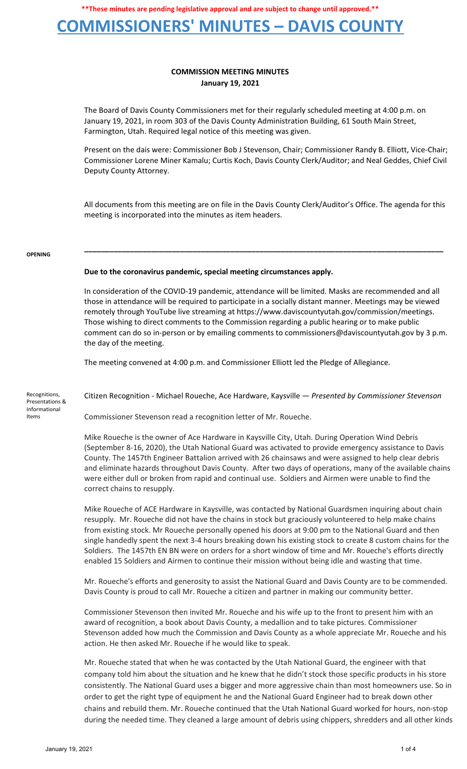**\*\*These minutes are pending legislative approval and are subject to change until approved.\*\***

# **COMMISSIONERS' MINUTES – DAVIS COUNTY**

## **COMMISSION MEETING MINUTES January 19, 2021**

The Board of Davis County Commissioners met for their regularly scheduled meeting at 4:00 p.m. on January 19, 2021, in room 303 of the Davis County Administration Building, 61 South Main Street, Farmington, Utah. Required legal notice of this meeting was given.

Present on the dais were: Commissioner Bob J Stevenson, Chair; Commissioner Randy B. Elliott, Vice-Chair; Commissioner Lorene Miner Kamalu; Curtis Koch, Davis County Clerk/Auditor; and Neal Geddes, Chief Civil Deputy County Attorney.

All documents from this meeting are on file in the Davis County Clerk/Auditor's Office. The agenda for this meeting is incorporated into the minutes as item headers.

**\_\_\_\_\_\_\_\_\_\_\_\_\_\_\_\_\_\_\_\_\_\_\_\_\_\_\_\_\_\_\_\_\_\_\_\_\_\_\_\_\_\_\_\_\_\_\_\_\_\_\_\_\_\_\_\_\_\_\_\_\_\_\_\_\_\_\_\_\_\_\_\_\_\_\_\_\_\_\_\_\_\_\_\_\_\_**

#### **OPENING**

### **Due to the coronavirus pandemic, special meeting circumstances apply.**

In consideration of the COVID-19 pandemic, attendance will be limited. Masks are recommended and all those in attendance will be required to participate in a socially distant manner. Meetings may be viewed remotely through YouTube live streaming at https://www.daviscountyutah.gov/commission/meetings. Those wishing to direct comments to the Commission regarding a public hearing or to make public comment can do so in-person or by emailing comments to commissioners@daviscountyutah.gov by 3 p.m. the day of the meeting.

The meeting convened at 4:00 p.m. and Commissioner Elliott led the Pledge of Allegiance.

Recognitions, Presentations & Informational Items

Citizen Recognition - Michael Roueche, Ace Hardware, Kaysville — *Presented by Commissioner Stevenson*

Commissioner Stevenson read a recognition letter of Mr. Roueche.

Mike Roueche is the owner of Ace Hardware in Kaysville City, Utah. During Operation Wind Debris (September 8-16, 2020), the Utah National Guard was activated to provide emergency assistance to Davis County. The 1457th Engineer Battalion arrived with 26 chainsaws and were assigned to help clear debris and eliminate hazards throughout Davis County. After two days of operations, many of the available chains were either dull or broken from rapid and continual use. Soldiers and Airmen were unable to find the correct chains to resupply.

Mike Roueche of ACE Hardware in Kaysville, was contacted by National Guardsmen inquiring about chain resupply. Mr. Roueche did not have the chains in stock but graciously volunteered to help make chains from existing stock. Mr Roueche personally opened his doors at 9:00 pm to the National Guard and then single handedly spent the next 3-4 hours breaking down his existing stock to create 8 custom chains for the Soldiers. The 1457th EN BN were on orders for a short window of time and Mr. Roueche's efforts directly enabled 15 Soldiers and Airmen to continue their mission without being idle and wasting that time.

Mr. Roueche's efforts and generosity to assist the National Guard and Davis County are to be commended. Davis County is proud to call Mr. Roueche a citizen and partner in making our community better.

Commissioner Stevenson then invited Mr. Roueche and his wife up to the front to present him with an award of recognition, a book about Davis County, a medallion and to take pictures. Commissioner Stevenson added how much the Commission and Davis County as a whole appreciate Mr. Roueche and his action. He then asked Mr. Roueche if he would like to speak.

Mr. Roueche stated that when he was contacted by the Utah National Guard, the engineer with that company told him about the situation and he knew that he didn't stock those specific products in his store consistently. The National Guard uses a bigger and more aggressive chain than most homeowners use. So in order to get the right type of equipment he and the National Guard Engineer had to break down other chains and rebuild them. Mr. Roueche continued that the Utah National Guard worked for hours, non-stop during the needed time. They cleaned a large amount of debris using chippers, shredders and all other kinds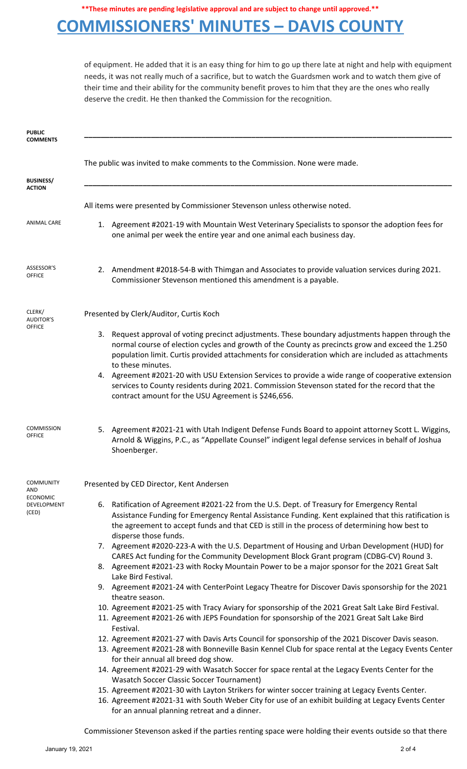**\*\*These minutes are pending legislative approval and are subject to change until approved.\*\***

# **COMMISSIONERS' MINUTES – DAVIS COUNTY**

of equipment. He added that it is an easy thing for him to go up there late at night and help with equipment needs, it was not really much of a sacrifice, but to watch the Guardsmen work and to watch them give of their time and their ability for the community benefit proves to him that they are the ones who really deserve the credit. He then thanked the Commission for the recognition.

| <b>PUBLIC</b><br><b>COMMENTS</b>                          |                                                                                                                                                                                                                                                                                                                                                                                                                                                                                                                                                                                               |
|-----------------------------------------------------------|-----------------------------------------------------------------------------------------------------------------------------------------------------------------------------------------------------------------------------------------------------------------------------------------------------------------------------------------------------------------------------------------------------------------------------------------------------------------------------------------------------------------------------------------------------------------------------------------------|
| <b>BUSINESS/</b>                                          | The public was invited to make comments to the Commission. None were made.                                                                                                                                                                                                                                                                                                                                                                                                                                                                                                                    |
| <b>ACTION</b>                                             |                                                                                                                                                                                                                                                                                                                                                                                                                                                                                                                                                                                               |
|                                                           | All items were presented by Commissioner Stevenson unless otherwise noted.                                                                                                                                                                                                                                                                                                                                                                                                                                                                                                                    |
| <b>ANIMAL CARE</b>                                        | 1. Agreement #2021-19 with Mountain West Veterinary Specialists to sponsor the adoption fees for<br>one animal per week the entire year and one animal each business day.                                                                                                                                                                                                                                                                                                                                                                                                                     |
| ASSESSOR'S<br><b>OFFICE</b>                               | 2. Amendment #2018-54-B with Thimgan and Associates to provide valuation services during 2021.<br>Commissioner Stevenson mentioned this amendment is a payable.                                                                                                                                                                                                                                                                                                                                                                                                                               |
| CLERK/<br><b>AUDITOR'S</b>                                | Presented by Clerk/Auditor, Curtis Koch                                                                                                                                                                                                                                                                                                                                                                                                                                                                                                                                                       |
| <b>OFFICE</b>                                             | 3. Request approval of voting precinct adjustments. These boundary adjustments happen through the<br>normal course of election cycles and growth of the County as precincts grow and exceed the 1.250<br>population limit. Curtis provided attachments for consideration which are included as attachments<br>to these minutes.<br>4. Agreement #2021-20 with USU Extension Services to provide a wide range of cooperative extension<br>services to County residents during 2021. Commission Stevenson stated for the record that the<br>contract amount for the USU Agreement is \$246,656. |
| <b>COMMISSION</b><br><b>OFFICE</b>                        | 5. Agreement #2021-21 with Utah Indigent Defense Funds Board to appoint attorney Scott L. Wiggins,<br>Arnold & Wiggins, P.C., as "Appellate Counsel" indigent legal defense services in behalf of Joshua<br>Shoenberger.                                                                                                                                                                                                                                                                                                                                                                      |
| <b>COMMUNITY</b><br>AND<br><b>ECONOMIC</b><br>DEVELOPMENT | Presented by CED Director, Kent Andersen<br>6. Ratification of Agreement #2021-22 from the U.S. Dept. of Treasury for Emergency Rental                                                                                                                                                                                                                                                                                                                                                                                                                                                        |
| (CED)                                                     | Assistance Funding for Emergency Rental Assistance Funding. Kent explained that this ratification is<br>the agreement to accept funds and that CED is still in the process of determining how best to<br>disperse those funds.<br>7. Agreement #2020-223-A with the U.S. Department of Housing and Urban Development (HUD) for                                                                                                                                                                                                                                                                |
|                                                           | CARES Act funding for the Community Development Block Grant program (CDBG-CV) Round 3.<br>8. Agreement #2021-23 with Rocky Mountain Power to be a major sponsor for the 2021 Great Salt<br>Lake Bird Festival.                                                                                                                                                                                                                                                                                                                                                                                |
|                                                           | 9. Agreement #2021-24 with CenterPoint Legacy Theatre for Discover Davis sponsorship for the 2021<br>theatre season.                                                                                                                                                                                                                                                                                                                                                                                                                                                                          |
|                                                           | 10. Agreement #2021-25 with Tracy Aviary for sponsorship of the 2021 Great Salt Lake Bird Festival.<br>11. Agreement #2021-26 with JEPS Foundation for sponsorship of the 2021 Great Salt Lake Bird<br>Festival.                                                                                                                                                                                                                                                                                                                                                                              |
|                                                           | 12. Agreement #2021-27 with Davis Arts Council for sponsorship of the 2021 Discover Davis season.<br>13. Agreement #2021-28 with Bonneville Basin Kennel Club for space rental at the Legacy Events Center<br>for their annual all breed dog show.                                                                                                                                                                                                                                                                                                                                            |
|                                                           | 14. Agreement #2021-29 with Wasatch Soccer for space rental at the Legacy Events Center for the<br><b>Wasatch Soccer Classic Soccer Tournament)</b>                                                                                                                                                                                                                                                                                                                                                                                                                                           |
|                                                           | 15. Agreement #2021-30 with Layton Strikers for winter soccer training at Legacy Events Center.<br>16. Agreement #2021-31 with South Weber City for use of an exhibit building at Legacy Events Center<br>for an annual planning retreat and a dinner.                                                                                                                                                                                                                                                                                                                                        |
|                                                           | Commissioner Stevenson asked if the parties renting space were holding their events outside so that there                                                                                                                                                                                                                                                                                                                                                                                                                                                                                     |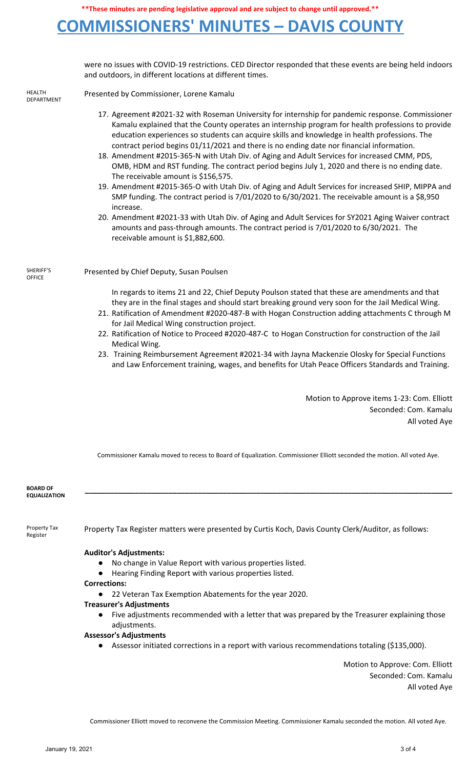# **COMMISSIONERS' MINUTES – DAVIS COUNTY**

were no issues with COVID-19 restrictions. CED Director responded that these events are being held indoors and outdoors, in different locations at different times.

HEALTH DEPARTMENT

SHERIFF'S **OFFICE** 

Presented by Commissioner, Lorene Kamalu

- 17. Agreement #2021-32 with Roseman University for internship for pandemic response. Commissioner Kamalu explained that the County operates an internship program for health professions to provide education experiences so students can acquire skills and knowledge in health professions. The contract period begins 01/11/2021 and there is no ending date nor financial information.
- 18. Amendment #2015-365-N with Utah Div. of Aging and Adult Services for increased CMM, PDS, OMB, HDM and RST funding. The contract period begins July 1, 2020 and there is no ending date. The receivable amount is \$156,575.
- 19. Amendment #2015-365-O with Utah Div. of Aging and Adult Services for increased SHIP, MIPPA and SMP funding. The contract period is 7/01/2020 to 6/30/2021. The receivable amount is a \$8,950 increase.
- 20. Amendment #2021-33 with Utah Div. of Aging and Adult Services for SY2021 Aging Waiver contract amounts and pass-through amounts. The contract period is 7/01/2020 to 6/30/2021. The receivable amount is \$1,882,600.

Presented by Chief Deputy, Susan Poulsen

In regards to items 21 and 22, Chief Deputy Poulson stated that these are amendments and that they are in the final stages and should start breaking ground very soon for the Jail Medical Wing.

- 21. Ratification of Amendment #2020-487-B with Hogan Construction adding attachments C through M for Jail Medical Wing construction project.
- 22. Ratification of Notice to Proceed #2020-487-C to Hogan Construction for construction of the Jail Medical Wing.
- 23. Training Reimbursement Agreement #2021-34 with Jayna Mackenzie Olosky for Special Functions and Law Enforcement training, wages, and benefits for Utah Peace Officers Standards and Training.

Motion to Approve items 1-23: Com. Elliott Seconded: Com. Kamalu All voted Aye

Commissioner Kamalu moved to recess to Board of Equalization. Commissioner Elliott seconded the motion. All voted Aye.

**\_\_\_\_\_\_\_\_\_\_\_\_\_\_\_\_\_\_\_\_\_\_\_\_\_\_\_\_\_\_\_\_\_\_\_\_\_\_\_\_\_\_\_\_\_\_\_\_\_\_\_\_\_\_\_\_\_\_\_\_\_\_\_\_\_\_\_\_\_\_\_\_\_\_\_\_\_\_\_\_\_\_\_\_\_\_\_\_**

**BOARD OF EQUALIZATION**

Property Tax Register

Property Tax Register matters were presented by Curtis Koch, Davis County Clerk/Auditor, as follows:

### **Auditor's Adjustments:**

- No change in Value Report with various properties listed.
- Hearing Finding Report with various properties listed.
- **Corrections:**
	- 22 Veteran Tax Exemption Abatements for the year 2020.
- **Treasurer's Adjustments**
	- Five adjustments recommended with a letter that was prepared by the Treasurer explaining those adjustments.

### **Assessor's Adjustments**

Assessor initiated corrections in a report with various recommendations totaling (\$135,000).

Motion to Approve: Com. Elliott Seconded: Com. Kamalu All voted Aye

Commissioner Elliott moved to reconvene the Commission Meeting. Commissioner Kamalu seconded the motion. All voted Aye.